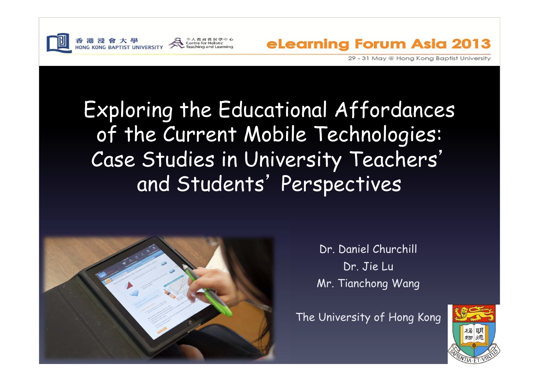

港浸會大學

**JONG KONG BAPTIST UNIVERSITY** 

eLearning Forum Asia 2013

29 - 31 May @ Hong Kong Baptist University

### Exploring the Educational Affordances of the Current Mobile Technologies: Case Studies in University Teachers' and Students' Perspectives

Centre for Holistic

Teaching and Learning



Dr. Daniel Churchill Dr. Jie Lu Mr. Tianchong Wang

The University of Hong Kong

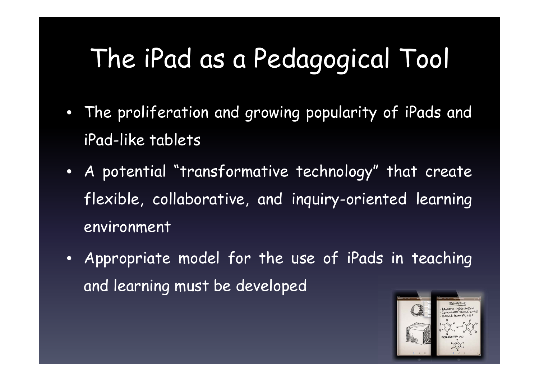# The iPad as a Pedagogical Tool

- The proliferation and growing popularity of iPads and iPad-like tablets
- <sup>A</sup> potential "transformative technology" that create flexible, collaborative, and inquiry-oriented learning environment
- Appropriate model for the use of iPads in teaching and learning must be developed

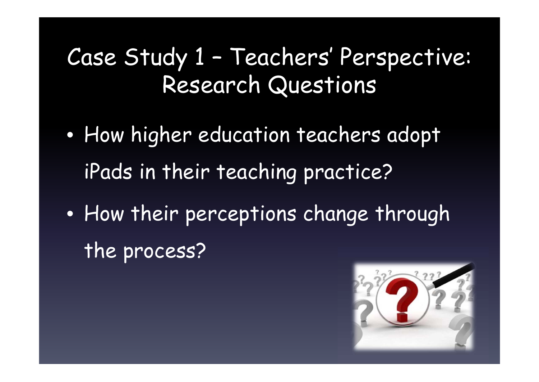### Case Study 1 – Teachers' Perspective: Research Questions

- $\bullet$ • How higher education teachers adopt iPads in their teaching practice?
- $\bullet$ • How their perceptions change through the process?

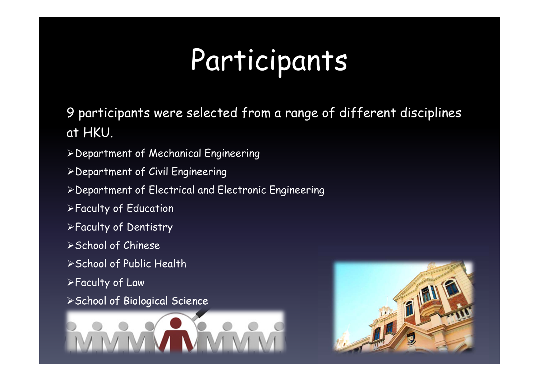# Participants

9 participants were selected from a range of different disciplines at HKU.

- Department of Mechanical Engineering
- Department of Civil Engineering
- Department of Electrical and Electronic Engineering
- Faculty of Education
- Faculty of Dentistry
- School of Chinese
- School of Public Health
- Faculty of Law
- > School of Biological Science



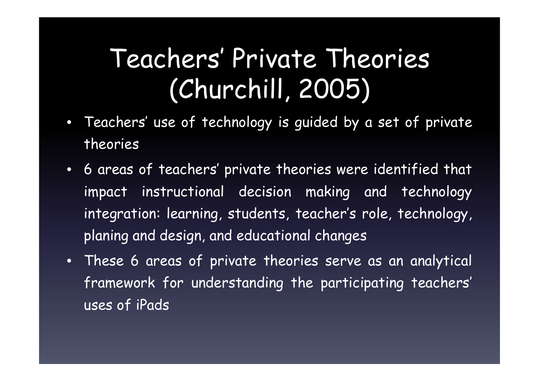# Teachers' Private Theories (Churchill, 2005)

- $\bullet$  Teachers' use of technology is guided by <sup>a</sup> set of private theories
- 6 areas of teachers' private theories were identified that impact instructional decision making and technology integration: learning, students, teacher's role, technology, planing and design, and educational changes
- These 6 areas of private theories serve as an analytical framework for understanding the participating teachers' uses of iPads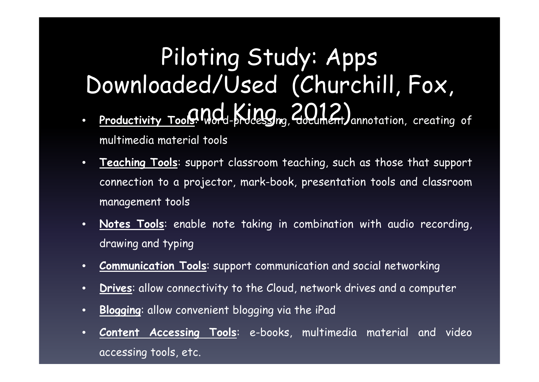#### Piloting Study: Apps Downloaded/Used (Churchill, Fox, •**Productivity Tools Mord-processing, 2012)** annotation, creating of multimedia material tools

- • **Teaching Tools**: suppor<sup>t</sup> classroom teaching, such as those that suppor<sup>t</sup> connection to <sup>a</sup> projector, mark-book, presentation tools and classroom management tools
- • **Notes Tools**: enable note taking in combination with audio recording, drawing and typing
- •**Communication Tools**: suppor<sup>t</sup> communication and social networking
- •**Drives**: allow connectivity to the Cloud, network drives and <sup>a</sup> computer
- •**Blogging**: allow convenient blogging via the iPad
- • **Content Accessing Tools**: e-books, multimedia material and video accessing tools, etc.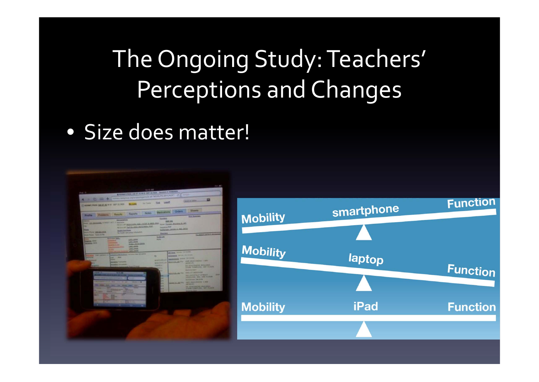## The Ongoing Study:Teachers' Perceptions and Changes

#### • Size does matter!



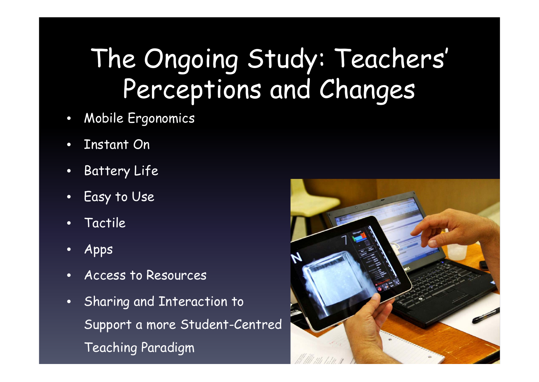# The Ongoing Study: Teachers' Perceptions and Changes

- $\bullet$ Mobile Ergonomics
- •Instant On
- •Battery Life
- •Easy to Use
- •Tactile
- •Apps
- •Access to Resources
- Sharing and Interaction to Support a more Student-Centred Teaching Paradigm

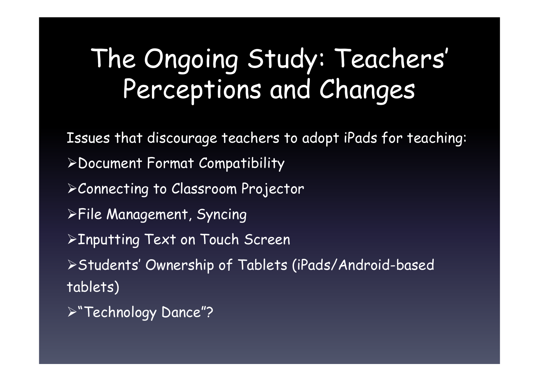# The Ongoing Study: Teachers' Perceptions and Changes

Issues that discourage teachers to adopt iPads for teaching: Document Format Compatibility Connecting to Classroom Projector File Management, Syncing **>Inputting Text on Touch Screen** Students' Ownership of Tablets (iPads/Android-based tablets) "Technology Dance"?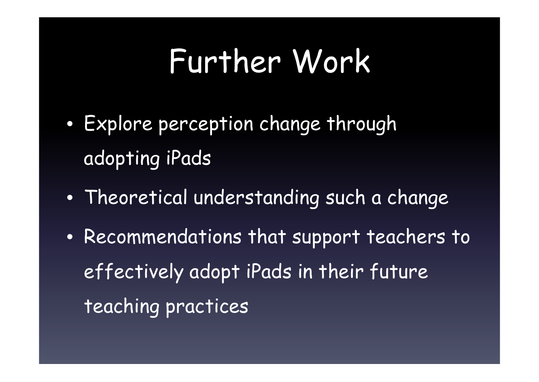# Further Work

- $\bullet$  Explore perception change through adopting iPads
- $\bullet$ Theoretical understanding such a change
- Recommendations that support teachers to effectively adopt iPads in their future teaching practices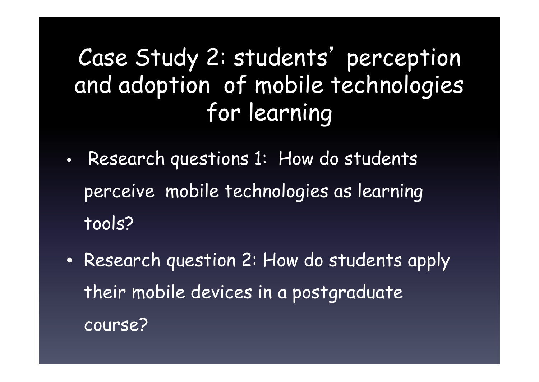### Case Study 2: students ' perception and adoption of mobile technologies for learning

- $\bullet$ • Research questions 1: How do students perceive mobile technologies as learning tools?
- Research question 2: How do students apply their mobile devices in a postgraduate course?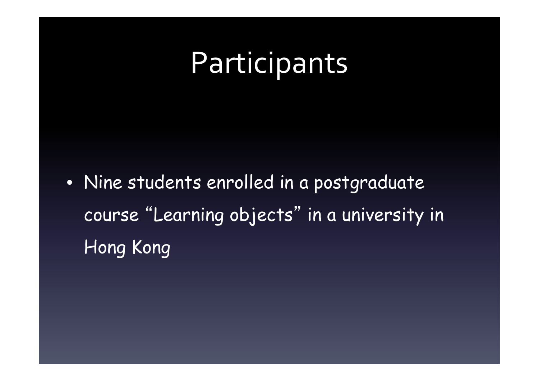# Participants

• Nine students enrolled in a postgraduate course "Learning objects" in a university in Hong Kong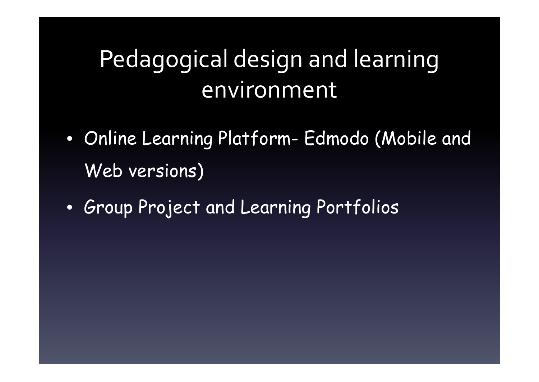## Pedagogical design and learning environment

- Online Learning Platform- Edmodo (Mobile and Web versions)
- Group Project and Learning Portfolios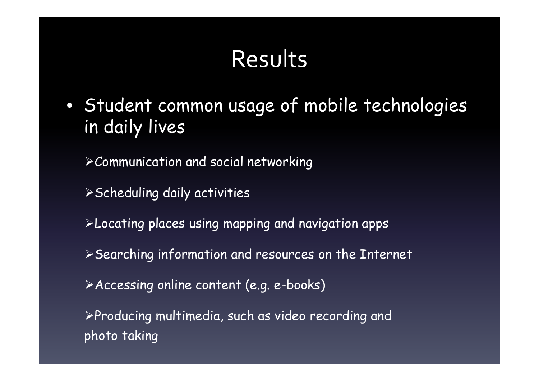- Student common usage of mobile technologies in daily lives
	- Communication and social networking
	- Scheduling daily activities
	- Locating places using mapping and navigation apps
	- Searching information and resources on the Internet
	- Accessing online content (e.g. e-books)
	- Producing multimedia, such as video recording and photo taking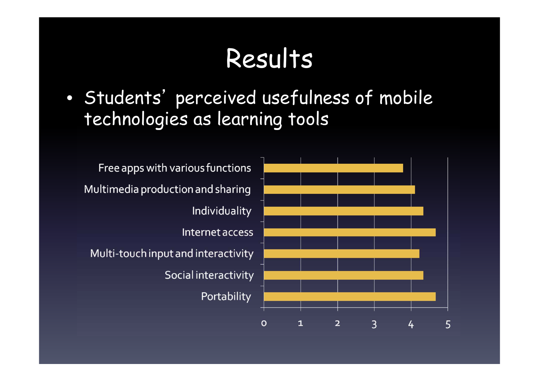$\bullet$  Students' perceived usefulness of mobile technologies as learning tools

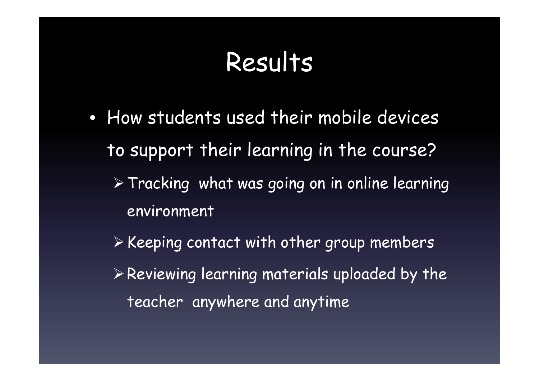- How students used their mobile devices to support their learning in the course?
	- $\triangleright$  Tracking what was going on in online learning environment
	- $\triangleright$  Keeping contact with other group members  $\triangleright$  Reviewing learning materials uploaded by the teacher anywhere and anytime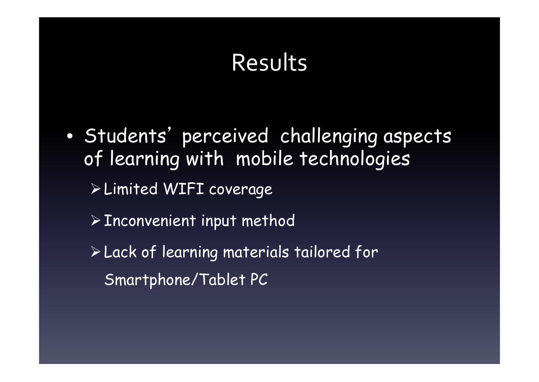$\bullet$  Students' perceived challenging aspects of learning with mobile technologies Limited WIFI coverage  $\triangleright$  Inconvenient input method Lack of learning materials tailored for Smartphone/Tablet PC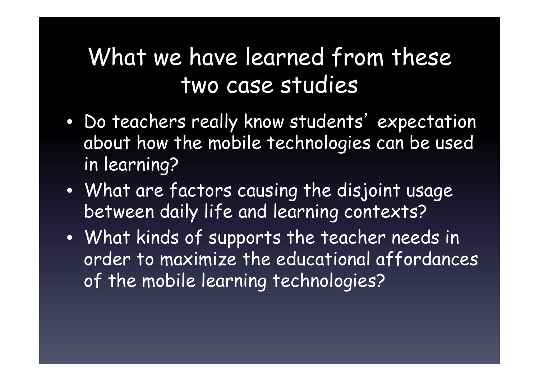### What we have learned from these two case studies

- • Do teachers really know students' expectation about how the mobile technologies can be used in learning?
- What are factors causing the disjoint usage between daily life and learning contexts?
- What kinds of supports the teacher needs in order to maximize the educational affordances of the mobile learning technologies?